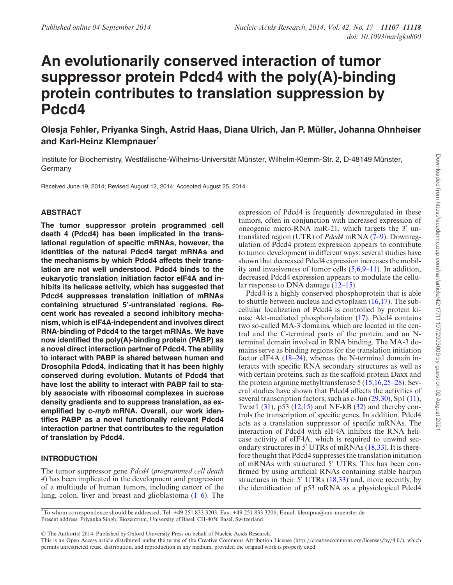# **An evolutionarily conserved interaction of tumor suppressor protein Pdcd4 with the poly(A)-binding protein contributes to translation suppression by Pdcd4**

**Olesja Fehler, Priyanka Singh, Astrid Haas, Diana Ulrich, Jan P. Muller, Johanna Ohnheiser ¨ and Karl-Heinz Klempnauer\***

Institute for Biochemistry, Westfälische-Wilhelms-Universität Münster, Wilhelm-Klemm-Str. 2, D-48149 Münster, Germany

Received June 19, 2014; Revised August 12, 2014; Accepted August 25, 2014

## **ABSTRACT**

**The tumor suppressor protein programmed cell death 4 (Pdcd4) has been implicated in the translational regulation of specific mRNAs, however, the identities of the natural Pdcd4 target mRNAs and the mechanisms by which Pdcd4 affects their translation are not well understood. Pdcd4 binds to the eukaryotic translation initiation factor eIF4A and inhibits its helicase activity, which has suggested that Pdcd4 suppresses translation initiation of mRNAs** containing structured 5'-untranslated regions. Re**cent work has revealed a second inhibitory mechanism, which is eIF4A-independent and involves direct RNA-binding of Pdcd4 to the target mRNAs. We have now identified the poly(A)-binding protein (PABP) as a novel direct interaction partner of Pdcd4. The ability to interact with PABP is shared between human and Drosophila Pdcd4, indicating that it has been highly conserved during evolution. Mutants of Pdcd4 that have lost the ability to interact with PABP fail to stably associate with ribosomal complexes in sucrose density gradients and to suppress translation, as exemplified by c-myb mRNA. Overall, our work identifies PABP as a novel functionally relevant Pdcd4 interaction partner that contributes to the regulation of translation by Pdcd4.**

## **INTRODUCTION**

The tumor suppressor gene *Pdcd4* (*programmed cell death 4*) has been implicated in the development and progression of a multitude of human tumors, including cancer of the lung, colon, liver and breast and glioblastoma (1–6). The

expression of Pdcd4 is frequently downregulated in these tumors, often in conjunction with increased expression of oncogenic micro-RNA miR-21, which targets the 3′ untranslated region (UTR) of *Pdcd4* mRNA (7–9). Downregulation of Pdcd4 protein expression appears to contribute to tumor development in different ways: several studies have shown that decreased Pdcd4 expression increases the mobility and invasiveness of tumor cells  $(5,6,9-11)$ . In addition, decreased Pdcd4 expression appears to modulate the cellular response to DNA damage (12–15).

Pdcd4 is a highly conserved phosphoprotein that is able to shuttle between nucleus and cytoplasm (16,17). The subcellular localization of Pdcd4 is controlled by protein kinase Akt-mediated phosphorylation (17). Pdcd4 contains two so-called MA-3 domains, which are located in the central and the C-terminal parts of the protein, and an Nterminal domain involved in RNA binding. The MA-3 domains serve as binding regions for the translation initiation factor eIF4A (18–24), whereas the N-terminal domain interacts with specific RNA secondary structures as well as with certain proteins, such as the scaffold protein Daxx and the protein arginine methyltransferase 5 (15,16,25–28). Several studies have shown that Pdcd4 affects the activities of several transcription factors, such as c-Jun (29,30), Sp1 (11), Twist1  $(31)$ , p53  $(12,15)$  and NF-kB  $(32)$  and thereby controls the transcription of specific genes. In addition, Pdcd4 acts as a translation suppressor of specific mRNAs. The interaction of Pdcd4 with eIF4A inhibits the RNA helicase activity of eIF4A, which is required to unwind secondary structures in 5′ UTRs of mRNAs (18,33). It is therefore thought that Pdcd4 suppresses the translation initiation of mRNAs with structured 5′ UTRs. This has been confirmed by using artificial RNAs containing stable hairpin structures in their 5' UTRs (18,33) and, more recently, by the identification of p53 mRNA as a physiological Pdcd4

\*To whom correspondence should be addressed. Tel: +49 251 833 3203; Fax: +49 251 833 3206; Email: klempna@uni-muenster.de Present address: Priyanka Singh, Biozentrum, University of Basel, CH-4056 Basel, Switzerland.

<sup>C</sup> The Author(s) 2014. Published by Oxford University Press on behalf of Nucleic Acids Research.

This is an Open Access article distributed under the terms of the Creative Commons Attribution License (http://creativecommons.org/licenses/by/4.0/), which permits unrestricted reuse, distribution, and reproduction in any medium, provided the original work is properly cited.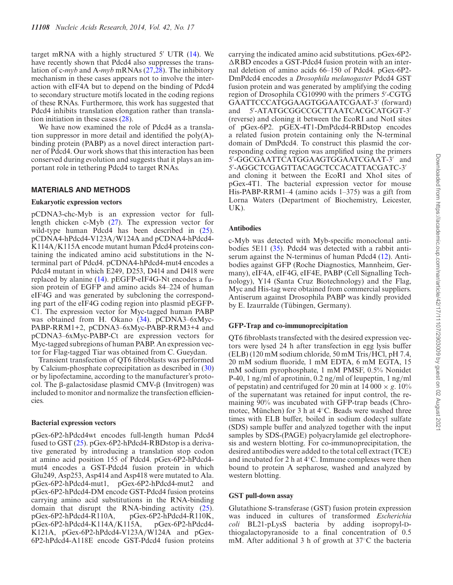target mRNA with a highly structured 5′ UTR (14). We have recently shown that Pdcd4 also suppresses the translation of c-*myb* and A-*myb* mRNAs (27,28). The inhibitory mechanism in these cases appears not to involve the interaction with eIF4A but to depend on the binding of Pdcd4 to secondary structure motifs located in the coding regions of these RNAs. Furthermore, this work has suggested that Pdcd4 inhibits translation elongation rather than translation initiation in these cases (28).

We have now examined the role of Pdcd4 as a translation suppressor in more detail and identified the  $poly(A)$ binding protein (PABP) as a novel direct interaction partner of Pdcd4. Our work shows that this interaction has been conserved during evolution and suggests that it plays an important role in tethering Pdcd4 to target RNAs.

## **MATERIALS AND METHODS**

#### **Eukaryotic expression vectors**

pCDNA3-chc-Myb is an expression vector for fulllength chicken c-Myb (27). The expression vector for wild-type human Pdcd4 has been described in  $(25)$ . pCDNA4-hPdcd4-V123A/W124A and pCDNA4-hPdcd4- K114A/K115A encode mutant human Pdcd4 proteins containing the indicated amino acid substitutions in the Nterminal part of Pdcd4. pCDNA4-hPdcd4-mut4 encodes a Pdcd4 mutant in which E249, D253, D414 and D418 were replaced by alanine (14). pEGFP-eIF4G-Nt encodes a fusion protein of EGFP and amino acids 84–224 of human eIF4G and was generated by subcloning the corresponding part of the eIF4G coding region into plasmid pEGFP-C1. The expression vector for Myc-tagged human PABP was obtained from H. Okano (34). pCDNA3–6xMyc-PABP-RRM1+2, pCDNA3–6xMyc-PABP-RRM3+4 and pCDNA3–6xMyc-PABP-Ct are expression vectors for Myc-tagged subregions of human PABP. An expression vector for Flag-tagged Tiar was obtained from C. Gueydan.

Transient transfection of QT6 fibroblasts was performed by Calcium-phosphate coprecipitation as described in (30) or by lipofectamine, according to the manufacturer's protocol. The  $\beta$ -galactosidase plasmid CMV- $\beta$  (Invitrogen) was included to monitor and normalize the transfection efficiencies.

## **Bacterial expression vectors**

pGex-6P2-hPdcd4wt encodes full-length human Pdcd4 fused to GST (25). pGex-6P2-hPdcd4-RBDstop is a derivative generated by introducing a translation stop codon at amino acid position 155 of Pdcd4. pGex-6P2-hPdcd4 mut4 encodes a GST-Pdcd4 fusion protein in which Glu249, Asp253, Asp414 and Asp418 were mutated to Ala. pGex-6P2-hPdcd4-mut1, pGex-6P2-hPdcd4-mut2 and pGex-6P2-hPdcd4-DM encode GST-Pdcd4 fusion proteins carrying amino acid substitutions in the RNA-binding domain that disrupt the RNA-binding activity (25). pGex-6P2-hPdcd4-R110A, pGex-6P2-hPdcd4-R110K, pGex-6P2-hPdcd4-K114A/K115A, pGex-6P2-hPdcd4- K121A, pGex-6P2-hPdcd4-V123A/W124A and pGex-6P2-hPdcd4-A118E encode GST-Pdcd4 fusion proteins

carrying the indicated amino acid substitutions. pGex-6P2-  $\triangle$ RBD encodes a GST-Pdcd4 fusion protein with an internal deletion of amino acids 66–150 of Pdcd4. pGex-6P2- DmPdcd4 encodes a *Drosophila melanogaster* Pdcd4 GST fusion protein and was generated by amplifying the coding region of Drosophila CG10990 with the primers 5′ -CGTG GAATTCCCATGGAAGTGGAATCGAAT-3′ (forward) and 5′ -ATATGCGGCCGCTTAATCACGCATGGT-3′ (reverse) and cloning it between the EcoRI and NotI sites of pGex-6P2. pGEX-4T1-DmPdcd4-RBDstop encodes a related fusion protein containing only the N-terminal domain of DmPdcd4. To construct this plasmid the corresponding coding region was amplified using the primers 5 ′ -GGCGAATTCATGGAAGTGGAATCGAAT-3′ and 5 ′ -AGGCTCGAGTTACAGCTCCACATTACGATC-3′ and cloning it between the EcoRI and XhoI sites of pGex-4T1. The bacterial expression vector for mouse His-PABP-RRM1–4 (amino acids 1–375) was a gift from Lorna Waters (Department of Biochemistry, Leicester, UK).

## **Antibodies**

c-Myb was detected with Myb-specific monoclonal antibodies 5E11 (35). Pdcd4 was detected with a rabbit antiserum against the N-terminus of human Pdcd4 (12). Antibodies against GFP (Roche Diagnostics, Mannheim, Germany), eIF4A, eIF4G, eIF4E, PABP (Cell Signalling Technology), Y14 (Santa Cruz Biotechnology) and the Flag, Myc and His-tag were obtained from commercial suppliers. Antiserum against Drosophila PABP was kindly provided by E. Izaurralde (Tübingen, Germany).

## **GFP-Trap and co-immunoprecipitation**

QT6 fibroblasts transfected with the desired expression vectors were lysed 24 h after transfection in egg lysis buffer (ELB) (120 mM sodium chloride, 50 mM Tris/HCl, pH 7.4, 20 mM sodium fluoride, 1 mM EDTA, 6 mM EGTA, 15 mM sodium pyrophosphate, 1 mM PMSF, 0.5% Nonidet P-40, 1 ng/ml of aprotinin, 0.2 ng/ml of leupeptin, 1 ng/ml of pepstatin) and centrifuged for 20 min at  $14\,000 \times g$ .  $10\%$ of the supernatant was retained for input control, the remaining 90% was incubated with GFP-trap beads (Chromotec, München) for 3 h at  $4°C$ . Beads were washed three times with ELB buffer, boiled in sodium dodecyl sulfate (SDS) sample buffer and analyzed together with the input samples by SDS-(PAGE) polyacrylamide gel electrophoresis and western blotting. For co-immunoprecipitation, the desired antibodies were added to the total cell extract (TCE) and incubated for 2 h at 4◦C. Immune complexes were then bound to protein A sepharose, washed and analyzed by western blotting.

## **GST pull-down assay**

Glutathione S-transferase (GST) fusion protein expression was induced in cultures of transformed *Escherichia coli* BL21-pLysS bacteria by adding isopropyl-Dthiogalactopyranoside to a final concentration of 0.5 mM. After additional 3 h of growth at 37◦C the bacteria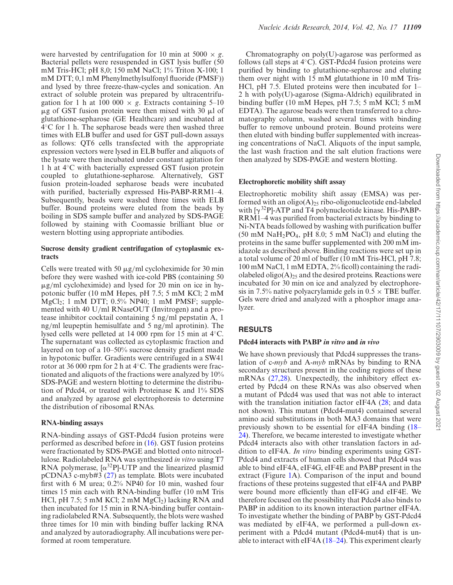were harvested by centrifugation for 10 min at 5000  $\times$  g. Bacterial pellets were resuspended in GST lysis buffer (50 mM Tris-HCl; pH 8,0; 150 mM NaCl; 1% Triton X-100; 1 mM DTT; 0,1 mM Phenylmethylsulfonyl fluoride (PMSF)) and lysed by three freeze-thaw-cycles and sonication. An extract of soluble protein was prepared by ultracentrifugation for 1 h at 100 000  $\times$  *g*. Extracts containing 5–10  $\mu$ g of GST fusion protein were then mixed with 30  $\mu$ l of glutathione-sepharose (GE Healthcare) and incubated at 4 ◦C for 1 h. The sepharose beads were then washed three times with ELB buffer and used for GST pull-down assays as follows: QT6 cells transfected with the appropriate expression vectors were lysed in ELB buffer and aliquots of the lysate were then incubated under constant agitation for 1 h at 4◦C with bacterially expressed GST fusion protein coupled to glutathione-sepharose. Alternatively, GST fusion protein-loaded sepharose beads were incubated with purified, bacterially expressed His-PABP-RRM1–4. Subsequently, beads were washed three times with ELB buffer. Bound proteins were eluted from the beads by boiling in SDS sample buffer and analyzed by SDS-PAGE followed by staining with Coomassie brilliant blue or western blotting using appropriate antibodies.

## **Sucrose density gradient centrifugation of cytoplasmic extracts**

Cells were treated with 50  $\mu$ g/ml cycloheximide for 30 min before they were washed with ice-cold PBS (containing 50  $\mu$ g/ml cycloheximide) and lysed for 20 min on ice in hypotonic buffer (10 mM Hepes, pH 7.5; 5 mM KCl; 2 mM  $MgCl<sub>2</sub>; 1 mM DTT; 0.5% NP40; 1 mM PMSF; supple$ mented with 40 U/ml RNaseOUT (Invitrogen) and a protease inhibitor cocktail containing 5 ng/ml pepstatin A, 1 ng/ml leupeptin hemisulfate and 5 ng/ml aprotinin). The lysed cells were pelleted at 14 000 rpm for 15 min at 4◦C. The supernatant was collected as cytoplasmic fraction and layered on top of a 10–50% sucrose density gradient made in hypotonic buffer. Gradients were centrifuged in a SW41 rotor at 36 000 rpm for 2 h at 4◦C. The gradients were fractionated and aliquots of the fractions were analyzed by 10% SDS-PAGE and western blotting to determine the distribution of Pdcd4, or treated with Proteinase K and 1% SDS and analyzed by agarose gel electrophoresis to determine the distribution of ribosomal RNAs.

#### **RNA-binding assays**

RNA-binding assays of GST-Pdcd4 fusion proteins were performed as described before in (16). GST fusion proteins were fractionated by SDS-PAGE and blotted onto nitrocellulose. Radiolabeled RNA was synthesized *in vitro* using T7 RNA polymerase,  $[\alpha^{32}P]$ -UTP and the linearized plasmid pCDNA3 c-myb#3 (27) as template. Blots were incubated first with 6 M urea; 0.2% NP40 for 10 min, washed four times 15 min each with RNA-binding buffer (10 mM Tris HCl, pH 7.5; 5 mM KCl;  $2 \text{ mM } MgCl_2$ ) lacking RNA and then incubated for 15 min in RNA-binding buffer containing radiolabeled RNA. Subsequently, the blots were washed three times for 10 min with binding buffer lacking RNA and analyzed by autoradiography. All incubations were performed at room temperature.

Chromatography on poly(U)-agarose was performed as follows (all steps at 4◦C). GST-Pdcd4 fusion proteins were purified by binding to glutathione-sepharose and eluting them over night with 15 mM glutathione in 10 mM Tris-HCl, pH 7.5. Eluted proteins were then incubated for 1– 2 h with poly(U)-agarose (Sigma-Aldrich) equilibrated in binding buffer (10 mM Hepes, pH 7.5; 5 mM KCl; 5 mM EDTA). The agarose beads were then transferred to a chromatography column, washed several times with binding buffer to remove unbound protein. Bound proteins were then eluted with binding buffer supplemented with increasing concentrations of NaCl. Aliquots of the input sample, the last wash fraction and the salt elution fractions were then analyzed by SDS-PAGE and western blotting.

## **Electrophoretic mobility shift assay**

Electrophoretic mobility shift assay (EMSA) was performed with an oligo $(A)_{25}$  ribo-oligonucleotide end-labeled with  $[\gamma^{32}P]$ -ATP and T4 polynucleotide kinase. His-PABP-RRM1–4 was purified from bacterial extracts by binding to Ni-NTA beads followed by washing with purification buffer  $(50 \text{ mM } \text{NaH}_2\text{PO}_4, \text{ pH } 8.0; 5 \text{ mM } \text{NaCl})$  and eluting the proteins in the same buffer supplemented with 200 mM imidazole as described above. Binding reactions were set up in a total volume of 20 ml of buffer (10 mM Tris-HCl, pH 7.8; 100 mM NaCl, 1 mM EDTA, 2% ficoll) containing the radiolabeled oligo $(A)_{25}$  and the desired proteins. Reactions were incubated for 30 min on ice and analyzed by electrophoresis in 7.5% native polyacrylamide gels in  $0.5 \times$  TBE buffer. Gels were dried and analyzed with a phosphor image analyzer.

## **RESULTS**

## **Pdcd4 interacts with PABP in vitro and in vivo**

We have shown previously that Pdcd4 suppresses the translation of c-*myb* and A-*myb* mRNAs by binding to RNA secondary structures present in the coding regions of these mRNAs (27,28). Unexpectedly, the inhibitory effect exerted by Pdcd4 on these RNAs was also observed when a mutant of Pdcd4 was used that was not able to interact with the translation initiation factor eIF4A (28; and data not shown). This mutant (Pdcd4-mut4) contained several amino acid substitutions in both MA3 domains that were previously shown to be essential for eIF4A binding (18– 24). Therefore, we became interested to investigate whether Pdcd4 interacts also with other translation factors in addition to eIF4A. *In vitro* binding experiments using GST-Pdcd4 and extracts of human cells showed that Pdcd4 was able to bind eIF4A, eIF4G, eIF4E and PABP present in the extract (Figure 1A). Comparison of the input and bound fractions of these proteins suggested that eIF4A and PABP were bound more efficiently than eIF4G and eIF4E. We therefore focused on the possibility that Pdcd4 also binds to PABP in addition to its known interaction partner eIF4A. To investigate whether the binding of PABP by GST-Pdcd4 was mediated by eIF4A, we performed a pull-down experiment with a Pdcd4 mutant (Pdcd4-mut4) that is unable to interact with eIF4A (18–24). This experiment clearly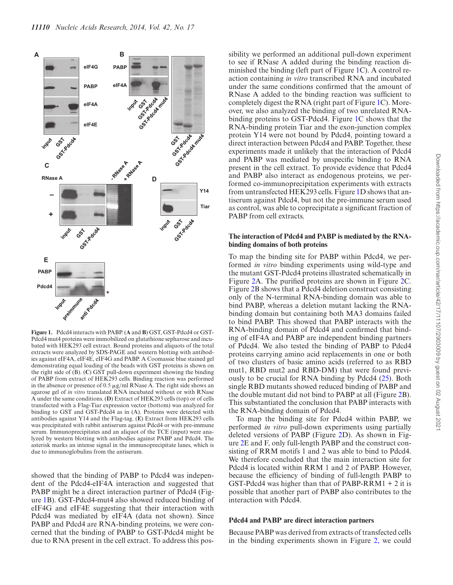

**Figure 1.** Pdcd4 interacts with PABP. (**A** and **B**) GST, GST-Pdcd4 or GST-Pdcd4 mut4 proteins were immobilized on glutathione sepharose and incubated with HEK293 cell extract. Bound proteins and aliquots of the total extracts were analyzed by SDS-PAGE and western blotting with antibodies against eIF4A, eIF4E, eIF4G and PABP. A Coomassie blue stained gel demonstrating equal loading of the beads with GST proteins is shown on the right side of (B). (**C**) GST pull-down experiment showing the binding of PABP from extract of HEK293 cells. Binding reaction was performed in the absence or presence of 0.5  $\mu$ g/ml RNase A. The right side shows an agarose gel of *in vitro* translated RNA incubated without or with RNase A under the same conditions. (**D**) Extract of HEK293 cells (top) or of cells transfected with a Flag-Tiar expression vector (bottom) was analyzed for binding to GST and GST-Pdcd4 as in (A). Proteins were detected with antibodies against Y14 and the Flag-tag. (**E**) Extract from HEK293 cells was precipitated with rabbit antiserum against Pdcd4 or with pre-immune serum. Immunoprecipitates and an aliquot of the TCE (input) were analyzed by western blotting with antibodies against PABP and Pdcd4. The asterisk marks an intense signal in the immunoprecipitate lanes, which is due to immunoglobulins from the antiserum.

showed that the binding of PABP to Pdcd4 was independent of the Pdcd4-eIF4A interaction and suggested that PABP might be a direct interaction partner of Pdcd4 (Figure 1B). GST-Pdcd4-mut4 also showed reduced binding of eIF4G and eIF4E suggesting that their interaction with Pdcd4 was mediated by eIF4A (data not shown). Since PABP and Pdcd4 are RNA-binding proteins, we were concerned that the binding of PABP to GST-Pdcd4 might be due to RNA present in the cell extract. To address this pos-

sibility we performed an additional pull-down experiment to see if RNase A added during the binding reaction diminished the binding (left part of Figure 1C). A control reaction containing *in vitro* transcribed RNA and incubated under the same conditions confirmed that the amount of RNase A added to the binding reaction was sufficient to completely digest the RNA (right part of Figure 1C). Moreover, we also analyzed the binding of two unrelated RNAbinding proteins to GST-Pdcd4. Figure 1C shows that the RNA-binding protein Tiar and the exon-junction complex protein Y14 were not bound by Pdcd4, pointing toward a direct interaction between Pdcd4 and PABP. Together, these experiments made it unlikely that the interaction of Pdcd4 and PABP was mediated by unspecific binding to RNA present in the cell extract. To provide evidence that Pdcd4 and PABP also interact as endogenous proteins, we performed co-immunoprecipitation experiments with extracts from untransfected HEK293 cells. Figure 1D shows that antiserum against Pdcd4, but not the pre-immune serum used as control, was able to coprecipitate a significant fraction of PABP from cell extracts.

#### **The interaction of Pdcd4 and PABP is mediated by the RNAbinding domains of both proteins**

To map the binding site for PABP within Pdcd4, we performed *in vitro* binding experiments using wild-type and the mutant GST-Pdcd4 proteins illustrated schematically in Figure 2A. The purified proteins are shown in Figure 2C. Figure 2B shows that a Pdcd4 deletion construct consisting only of the N-terminal RNA-binding domain was able to bind PABP, whereas a deletion mutant lacking the RNAbinding domain but containing both MA3 domains failed to bind PABP. This showed that PABP interacts with the RNA-binding domain of Pdcd4 and confirmed that binding of eIF4A and PABP are independent binding partners of Pdcd4. We also tested the binding of PABP to Pdcd4 proteins carrying amino acid replacements in one or both of two clusters of basic amino acids (referred to as RBD mut1, RBD mut2 and RBD-DM) that were found previously to be crucial for RNA binding by Pdcd4 (25). Both single RBD mutants showed reduced binding of PABP and the double mutant did not bind to PABP at all (Figure 2B). This substantiated the conclusion that PABP interacts with the RNA-binding domain of Pdcd4.

To map the binding site for Pdcd4 within PABP, we performed *in vitro* pull-down experiments using partially deleted versions of PABP (Figure 2D). As shown in Figure 2E and F, only full-length PABP and the construct consisting of RRM motifs 1 and 2 was able to bind to Pdcd4. We therefore concluded that the main interaction site for Pdcd4 is located within RRM 1 and 2 of PABP. However, because the efficiency of binding of full-length PABP to GST-Pdcd4 was higher than that of PABP-RRM1  $+ 2$  it is possible that another part of PABP also contributes to the interaction with Pdcd4.

#### **Pdcd4 and PABP are direct interaction partners**

Because PABP was derived from extracts of transfected cells in the binding experiments shown in Figure 2, we could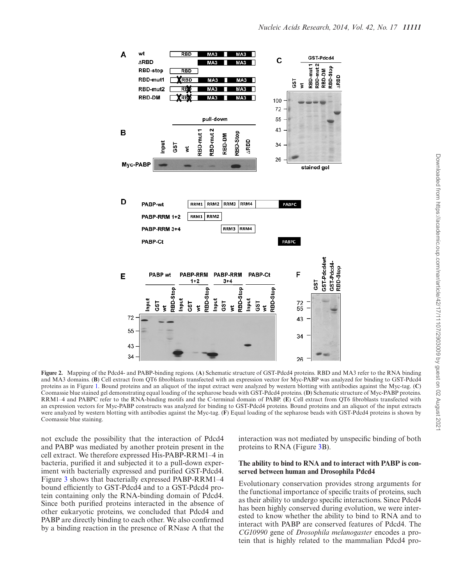

**Figure 2.** Mapping of the Pdcd4- and PABP-binding regions. (**A**) Schematic structure of GST-Pdcd4 proteins. RBD and MA3 refer to the RNA binding and MA3 domains. (**B**) Cell extract from QT6 fibroblasts transfected with an expression vector for Myc-PABP was analyzed for binding to GST-Pdcd4 proteins as in Figure 1. Bound proteins and an aliquot of the input extract were analyzed by western blotting with antibodies against the Myc-tag. (**C**) Coomassie blue stained gel demonstrating equal loading of the sepharose beads with GST-Pdcd4 proteins. (**D**) Schematic structure of Myc-PABP proteins. RRM1–4 and PABPC refer to the RNA-binding motifs and the C-terminal domain of PABP. (**E**) Cell extract from QT6 fibroblasts transfected with an expression vectors for Myc-PABP constructs was analyzed for binding to GST-Pdcd4 proteins. Bound proteins and an aliquot of the input extracts were analyzed by western blotting with antibodies against the Myc-tag. (**F**) Equal loading of the sepharose beads with GST-Pdcd4 proteins is shown by Coomassie blue staining.

not exclude the possibility that the interaction of Pdcd4 and PABP was mediated by another protein present in the cell extract. We therefore expressed His-PABP-RRM1–4 in bacteria, purified it and subjected it to a pull-down experiment with bacterially expressed and purified GST-Pdcd4. Figure 3 shows that bacterially expressed PABP-RRM1–4 bound efficiently to GST-Pdcd4 and to a GST-Pdcd4 protein containing only the RNA-binding domain of Pdcd4. Since both purified proteins interacted in the absence of other eukaryotic proteins, we concluded that Pdcd4 and PABP are directly binding to each other. We also confirmed by a binding reaction in the presence of RNase A that the interaction was not mediated by unspecific binding of both proteins to RNA (Figure 3B).

## **The ability to bind to RNA and to interact with PABP is conserved between human and Drosophila Pdcd4**

Evolutionary conservation provides strong arguments for the functional importance of specific traits of proteins, such as their ability to undergo specific interactions. Since Pdcd4 has been highly conserved during evolution, we were interested to know whether the ability to bind to RNA and to interact with PABP are conserved features of Pdcd4. The *CG10990* gene of *Drosophila melanogaster* encodes a protein that is highly related to the mammalian Pdcd4 pro-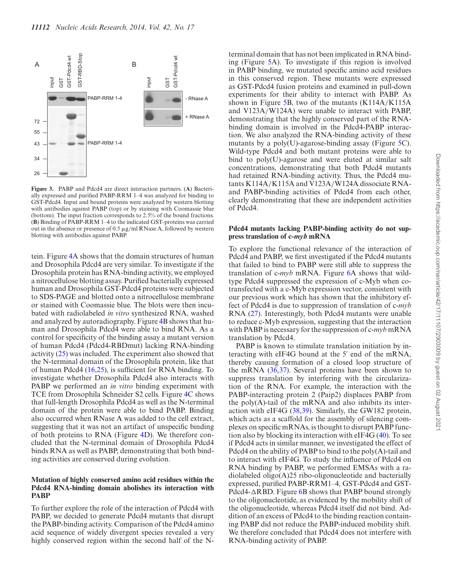

**Figure 3.** PABP and Pdcd4 are direct interaction partners. (**A**) Bacterially expressed and purified PABP-RRM 1–4 was analyzed for binding to GST-Pdcd4. Input and bound proteins were analyzed by western blotting with antibodies against PABP (top) or by staining with Coomassie blue (bottom). The input fraction corresponds to 2.5% of the bound fractions. (**B**) Binding of PABP-RRM 1–4 to the indicated GST-proteins was carried out in the absence or presence of  $0.5 \mu$ g/ml RNase A, followed by western blotting with antibodies against PABP.

tein. Figure 4A shows that the domain structures of human and Drosophila Pdcd4 are very similar. To investigate if the Drosophila protein has RNA-binding activity, we employed a nitrocellulose blotting assay. Purified bacterially expressed human and Drosophila GST-Pdcd4 proteins were subjected to SDS-PAGE and blotted onto a nitrocellulose membrane or stained with Coomassie blue. The blots were then incubated with radiolabeled *in vitro* synthesized RNA, washed and analyzed by autoradiography. Figure 4B shows that human and Drosophila Pdcd4 were able to bind RNA. As a control for specificity of the binding assay a mutant version of human Pdcd4 (Pdcd4-RBDmut) lacking RNA-binding activity (25) was included. The experiment also showed that the N-terminal domain of the Drosophila protein, like that of human Pdcd4 (16,25), is sufficient for RNA binding. To investigate whether Drosophila Pdcd4 also interacts with PABP we performed an *in vitro* binding experiment with TCE from Drosophila Schneider S2 cells. Figure 4C shows that full-length Drosophila Pdcd4 as well as the N-terminal domain of the protein were able to bind PABP. Binding also occurred when RNase A was added to the cell extract, suggesting that it was not an artifact of unspecific binding of both proteins to RNA (Figure 4D). We therefore concluded that the N-terminal domain of Drosophila Pdcd4 binds RNA as well as PABP, demonstrating that both binding activities are conserved during evolution.

#### **Mutation of highly conserved amino acid residues within the Pdcd4 RNA-binding domain abolishes its interaction with PABP**

To further explore the role of the interaction of Pdcd4 with PABP, we decided to generate Pdcd4 mutants that disrupt the PABP-binding activity. Comparison of the Pdcd4 amino acid sequence of widely divergent species revealed a very highly conserved region within the second half of the N-

terminal domain that has not been implicated in RNA binding (Figure 5A). To investigate if this region is involved in PABP binding, we mutated specific amino acid residues in this conserved region. These mutants were expressed as GST-Pdcd4 fusion proteins and examined in pull-down experiments for their ability to interact with PABP. As shown in Figure 5B, two of the mutants (K114A/K115A and V123A/W124A) were unable to interact with PABP, demonstrating that the highly conserved part of the RNAbinding domain is involved in the Pdcd4-PABP interaction. We also analyzed the RNA-binding activity of these mutants by a poly(U)-agarose-binding assay (Figure 5C). Wild-type Pdcd4 and both mutant proteins were able to bind to poly(U)-agarose and were eluted at similar salt concentrations, demonstrating that both Pdcd4 mutants had retained RNA-binding activity. Thus, the Pdcd4 mutants K114A/K115A and V123A/W124A dissociate RNAand PABP-binding activities of Pdcd4 from each other, clearly demonstrating that these are independent activities of Pdcd4.

#### **Pdcd4 mutants lacking PABP-binding activity do not suppress translation of c-myb mRNA**

To explore the functional relevance of the interaction of Pdcd4 and PABP, we first investigated if the Pdcd4 mutants that failed to bind to PABP were still able to suppress the translation of c-*myb* mRNA. Figure 6A shows that wildtype Pdcd4 suppressed the expression of c-Myb when cotransfected with a c-Myb expression vector, consistent with our previous work which has shown that the inhibitory effect of Pdcd4 is due to suppression of translation of c-*myb* RNA (27). Interestingly, both Pdcd4 mutants were unable to reduce c-Myb expression, suggesting that the interaction with PABP is necessary for the suppression of c-*myb* mRNA translation by Pdcd4.

PABP is known to stimulate translation initiation by interacting with eIF4G bound at the 5′ end of the mRNA, thereby causing formation of a closed loop structure of the mRNA (36,37). Several proteins have been shown to suppress translation by interfering with the circularization of the RNA. For example, the interaction with the PABP-interacting protein 2 (Paip2) displaces PABP from the poly(A)-tail of the mRNA and also inhibits its interaction with eIF4G (38,39). Similarly, the GW182 protein, which acts as a scaffold for the assembly of silencing complexes on specific mRNAs, is thought to disrupt PABP function also by blocking its interaction with eIF4G (40). To see if Pdcd4 acts in similar manner, we investigated the effect of Pdcd4 on the ability of PABP to bind to the poly(A)-tail and to interact with eIF4G. To study the influence of Pdcd4 on RNA binding by PABP, we performed EMSAs with a radiolabeled oligo(A)25 ribo-oligonucleotide and bacterially expressed, purified PABP-RRM1–4, GST-Pdcd4 and GST-Pdcd4- $\triangle$ RBD. Figure 6B shows that PABP bound strongly to the oligonucleotide, as evidenced by the mobility shift of the oligonucleotide, whereas Pdcd4 itself did not bind. Addition of an excess of Pdcd4 to the binding reaction containing PABP did not reduce the PABP-induced mobility shift. We therefore concluded that Pdcd4 does not interfere with RNA-binding activity of PABP.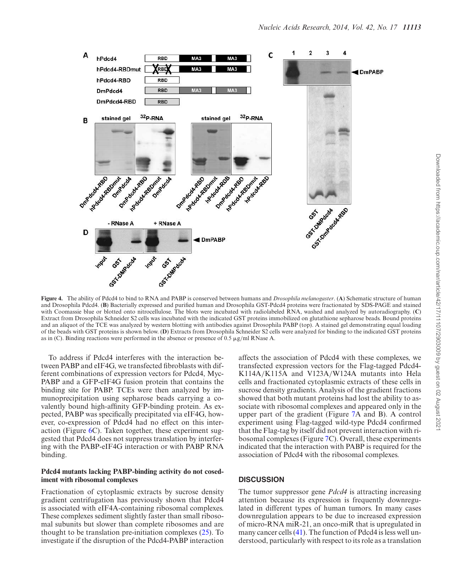

**Figure 4.** The ability of Pdcd4 to bind to RNA and PABP is conserved between humans and *Drosophila melanogaster*. (**A**) Schematic structure of human and Drosophila Pdcd4. (**B**) Bacterially expressed and purified human and Drosophila GST-Pdcd4 proteins were fractionated by SDS-PAGE and stained with Coomassie blue or blotted onto nitrocellulose. The blots were incubated with radiolabeled RNA, washed and analyzed by autoradiography. (**C**) Extract from Drosophila Schneider S2 cells was incubated with the indicated GST proteins immobilized on glutathione sepharose beads. Bound proteins and an aliquot of the TCE was analyzed by western blotting with antibodies against Drosophila PABP (top). A stained gel demonstrating equal loading of the beads with GST proteins is shown below. (**D**) Extracts from Drosophila Schneider S2 cells were analyzed for binding to the indicated GST proteins as in (C). Binding reactions were performed in the absence or presence of 0.5  $\mu$ g/ml RNase A.

To address if Pdcd4 interferes with the interaction between PABP and eIF4G, we transfected fibroblasts with different combinations of expression vectors for Pdcd4, Myc-PABP and a GFP-eIF4G fusion protein that contains the binding site for PABP. TCEs were then analyzed by immunoprecipitation using sepharose beads carrying a covalently bound high-affinity GFP-binding protein. As expected, PABP was specifically precipitated via eIF4G, however, co-expression of Pdcd4 had no effect on this interaction (Figure 6C). Taken together, these experiment suggested that Pdcd4 does not suppress translation by interfering with the PABP-eIF4G interaction or with PABP RNA binding.

#### **Pdcd4 mutants lacking PABP-binding activity do not cosediment with ribosomal complexes**

Fractionation of cytoplasmic extracts by sucrose density gradient centrifugation has previously shown that Pdcd4 is associated with eIF4A-containing ribosomal complexes. These complexes sediment slightly faster than small ribosomal subunits but slower than complete ribosomes and are thought to be translation pre-initiation complexes  $(25)$ . To investigate if the disruption of the Pdcd4-PABP interaction affects the association of Pdcd4 with these complexes, we transfected expression vectors for the Flag-tagged Pdcd4- K114A/K115A and V123A/W124A mutants into Hela cells and fractionated cytoplasmic extracts of these cells in sucrose density gradients. Analysis of the gradient fractions showed that both mutant proteins had lost the ability to associate with ribosomal complexes and appeared only in the upper part of the gradient (Figure 7A and B). A control experiment using Flag-tagged wild-type Pdcd4 confirmed that the Flag-tag by itself did not prevent interaction with ribosomal complexes (Figure 7C). Overall, these experiments indicated that the interaction with PABP is required for the association of Pdcd4 with the ribosomal complexes.

## **DISCUSSION**

The tumor suppressor gene *Pdcd4* is attracting increasing attention because its expression is frequently downregulated in different types of human tumors. In many cases downregulation appears to be due to increased expression of micro-RNA miR-21, an onco-miR that is upregulated in many cancer cells (41). The function of Pdcd4 is less well understood, particularly with respect to its role as a translation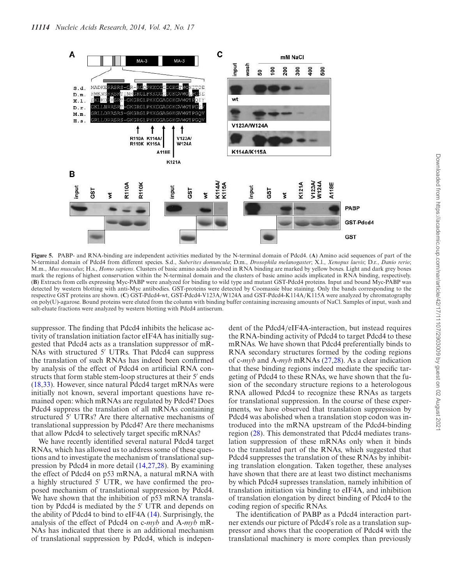

**Figure 5.** PABP- and RNA-binding are independent activities mediated by the N-terminal domain of Pdcd4. (**A**) Amino acid sequences of part of the N-terminal domain of Pdcd4 from different species. S.d., *Suberites domuncula*; D.m., *Drosophila melanogaster*; X.l., *Xenopus laevis*; D.r., *Danio rerio*; M.m., *Mus musculus*; H.s., *Homo sapiens*. Clusters of basic amino acids involved in RNA binding are marked by yellow boxes. Light and dark grey boxes mark the regions of highest conservation within the N-terminal domain and the clusters of basic amino acids implicated in RNA binding, respectively. (**B**) Extracts from cells expressing Myc-PABP were analyzed for binding to wild type and mutant GST-Pdcd4 proteins. Input and bound Myc-PABP was detected by western blotting with anti-Myc antibodies. GST-proteins were detected by Coomassie blue staining. Only the bands corresponding to the respective GST proteins are shown. (**C**) GST-Pdcd4-wt, GST-Pdcd4-V123A/W124A and GST-Pdcd4-K114A/K115A were analyzed by chromatography on poly(U)-agarose. Bound proteins were eluted from the column with binding buffer containing increasing amounts of NaCl. Samples of input, wash and salt-eluate fractions were analyzed by western blotting with Pdcd4 antiserum.

suppressor. The finding that Pdcd4 inhibits the helicase activity of translation initiation factor eIF4A has initially suggested that Pdcd4 acts as a translation suppressor of mR-NAs with structured 5′ UTRs. That Pdcd4 can suppress the translation of such RNAs has indeed been confirmed by analysis of the effect of Pdcd4 on artificial RNA constructs that form stable stem-loop structures at their 5′ ends (18,33). However, since natural Pdcd4 target mRNAs were initially not known, several important questions have remained open: which mRNAs are regulated by Pdcd4? Does Pdcd4 suppress the translation of all mRNAs containing structured 5′ UTRs? Are there alternative mechanisms of translational suppression by Pdcd4? Are there mechanisms that allow Pdcd4 to selectively target specific mRNAs?

We have recently identified several natural Pdcd4 target RNAs, which has allowed us to address some of these questions and to investigate the mechanism of translational suppression by Pdcd4 in more detail (14,27,28). By examining the effect of Pdcd4 on p53 mRNA, a natural mRNA with a highly structured 5′ UTR, we have confirmed the proposed mechanism of translational suppression by Pdcd4. We have shown that the inhibition of p53 mRNA translation by Pdcd4 is mediated by the 5′ UTR and depends on the ability of Pdcd4 to bind to eIF4A (14). Surprisingly, the analysis of the effect of Pdcd4 on c-*myb* and A-*myb* mR-NAs has indicated that there is an additional mechanism of translational suppression by Pdcd4, which is independent of the Pdcd4/eIF4A-interaction, but instead requires the RNA-binding activity of Pdcd4 to target Pdcd4 to these mRNAs. We have shown that Pdcd4 preferentially binds to RNA secondary structures formed by the coding regions of c-*myb* and A-*myb* mRNAs (27,28). As a clear indication that these binding regions indeed mediate the specific targeting of Pdcd4 to these RNAs, we have shown that the fusion of the secondary structure regions to a heterologous RNA allowed Pdcd4 to recognize these RNAs as targets for translational suppression. In the course of these experiments, we have observed that translation suppression by Pdcd4 was abolished when a translation stop codon was introduced into the mRNA upstream of the Pdcd4-binding region (28). This demonstrated that Pdcd4 mediates translation suppression of these mRNAs only when it binds to the translated part of the RNAs, which suggested that Pdcd4 suppresses the translation of these RNAs by inhibiting translation elongation. Taken together, these analyses have shown that there are at least two distinct mechanisms by which Pdcd4 supresses translation, namely inhibition of translation initiation via binding to eIF4A, and inhibition of translation elongation by direct binding of Pdcd4 to the coding region of specific RNAs.

The identification of PABP as a Pdcd4 interaction partner extends our picture of Pdcd4′ s role as a translation suppressor and shows that the cooperation of Pdcd4 with the translational machinery is more complex than previously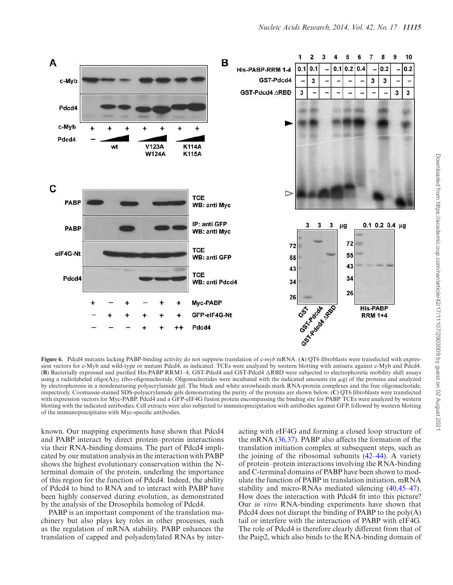

**Figure 6.** Pdcd4 mutants lacking PABP-binding activity do not suppress translation of c-*myb* mRNA. (A) QT6 fibroblasts were transfected with expression vectors for c-Myb and wild-type or mutant Pdcd4, as indicated. TCEs were analyzed by western blotting with antisera against c-Myb and Pdcd4.  $(B)$  Bacterially expressed and purified His-PABP RRM1-4, GST-Pdcd4 and GST-Pdcd4  $\triangle$ RBD were subjected to electrophoretic mobility shift assays using a radiolabeled oligo(A)<sub>25</sub> ribo-oligonucleotide. Oligonucleotides were incubated with the indicated amounts (in  $\mu$ g) of the proteins and analyzed by electrophoresis in a nondenaturing polyacrylamide gel. The black and white arrowheads mark RNA-protein complexes and the free oligonucleotide, respectively. Coomassie-stained SDS-polyacrylamide gels demonstrating the purity of the proteins are shown below. (**C**) QT6 fibroblasts were transfected with expression vectors for Myc-PABP, Pdcd4 and a GFP-eIF4G fusion protein encompassing the binding site for PABP. TCEs were analyzed by western blotting with the indicated antibodies. Cell extracts were also subjected to immunoprecipitation with antibodies against GFP, followed by western blotting of the immunoprecipitates with Myc-specific antibodies.

known. Our mapping experiments have shown that Pdcd4 and PABP interact by direct protein–protein interactions via their RNA-binding domains. The part of Pdcd4 implicated by our mutation analysis in the interaction with PABP shows the highest evolutionary conservation within the Nterminal domain of the protein, underling the importance of this region for the function of Pdcd4. Indeed, the ability of Pdcd4 to bind to RNA and to interact with PABP have been highly conserved during evolution, as demonstrated by the analysis of the Drosophila homolog of Pdcd4.

PABP is an important component of the translation machinery but also plays key roles in other processes, such as the regulation of mRNA stability. PABP enhances the translation of capped and polyadenylated RNAs by interacting with eIF4G and forming a closed loop structure of the mRNA (36,37). PABP also affects the formation of the translation initiation complex at subsequent steps, such as the joining of the ribosomal subunits  $(42-44)$ . A variety of protein–protein interactions involving the RNA-binding and C-terminal domains of PABP have been shown to modulate the function of PABP in translation initiation, mRNA stability and micro-RNAs mediated silencing (40,45–47). How does the interaction with Pdcd4 fit into this picture? Our *in vitro* RNA-binding experiments have shown that Pdcd4 does not disrupt the binding of PABP to the poly(A) tail or interfere with the interaction of PABP with eIF4G. The role of Pdcd4 is therefore clearly different from that of the Paip2, which also binds to the RNA-binding domain of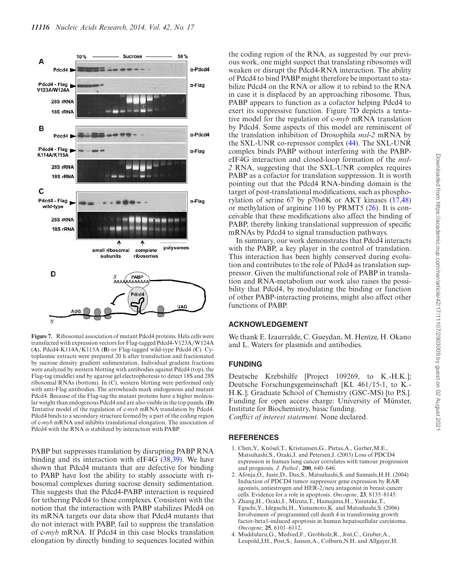

**Figure 7.** Ribosomal association of mutant Pdcd4 proteins. Hela cells were transfected with expression vectors for Flag-tagged Pdcd4-V123A/W124A (**A**), Pdcd4-K114A/K115A (**B**) or Flag-tagged wild-type Pdcd4 (**C**). Cytoplasmic extracts were prepared 20 h after transfection and fractionated by sucrose density gradient sedimentation. Individual gradient fractions were analyzed by western blotting with antibodies against Pdcd4 (top), the Flag-tag (middle) and by agarose gel electrophoresis to detect 18S and 28S ribosomal RNAs (bottom). In (C), western blotting were performed only with anti-Flag antibodies. The arrowheads mark endogenous and mutant Pdcd4. Because of the Flag-tag the mutant proteins have a higher molecular weight than endogenous Pdcd4 and are also visible in the top panels. (**D**) Tentative model of the regulation of c-*myb* mRNA translation by Pdcd4. Pdcd4 binds to a secondary structure formed by a part of the coding region of c-*myb* mRNA and inhibits translational elongation. The association of Pdcd4 with the RNA is stabilized by interaction with PABP.

PABP but suppresses translation by disrupting PABP RNA binding and its interaction with eIF4G (38,39). We have shown that Pdcd4 mutants that are defective for binding to PABP have lost the ability to stably associate with ribosomal complexes during sucrose density sedimentation. This suggests that the Pdcd4-PABP interaction is required for tethering Pdcd4 to these complexes. Consistent with the notion that the interaction with PABP stabilizes Pdcd4 on its mRNA targets our data show that Pdcd4 mutants that do not interact with PABP, fail to suppress the translation of c-*myb* mRNA. If Pdcd4 in this case blocks translation elongation by directly binding to sequences located within

the coding region of the RNA, as suggested by our previous work, one might suspect that translating ribosomes will weaken or disrupt the Pdcd4-RNA interaction. The ability of Pdcd4 to bind PABP might therefore be important to stabilize Pdcd4 on the RNA or allow it to rebind to the RNA in case it is displaced by an approaching ribosome. Thus, PABP appears to function as a cofactor helping Pdcd4 to exert its suppressive function. Figure 7D depicts a tentative model for the regulation of c-*myb* mRNA translation by Pdcd4. Some aspects of this model are reminiscent of the translation inhibition of Drosophila *msl-2* mRNA by the SXL-UNR co-repressor complex (44). The SXL-UNR complex binds PABP without interfering with the PABPeIF4G interaction and closed-loop formation of the *msl-2* RNA, suggesting that the SXL-UNR complex requires PABP as a cofactor for translation suppression. It is worth pointing out that the Pdcd4 RNA-binding domain is the target of post-translational modifications, such as phosphorylation of serine 67 by p70s6K or AKT kinases (17,48) or methylation of arginine 110 by PRMT5 (26). It is conceivable that these modifications also affect the binding of PABP, thereby linking translational suppression of specific mRNAs by Pdcd4 to signal transduction pathways.

In summary, our work demonstrates that Pdcd4 interacts with the PABP, a key player in the control of translation. This interaction has been highly conserved during evolution and contributes to the role of Pdcd4 as translation suppressor. Given the multifunctional role of PABP in translation and RNA-metabolism our work also raises the possibility that Pdcd4, by modulating the binding or function of other PABP-interacting proteins, might also affect other functions of PABP.

## **ACKNOWLEDGEMENT**

We thank E. Izaurralde, C. Gueydan, M. Hentze, H. Okano and L. Waters for plasmids and antibodies.

## **FUNDING**

Deutsche Krebshilfe [Project 109269, to K.-H.K.]; Deutsche Forschungsgemeinschaft [KL 461/15-1, to K.- H.K.]; Graduate School of Chemistry (GSC-MS) [to P.S.]. Funding for open access charge: University of Münster, Institute for Biochemistry, basic funding. *Conflict of interest statement.* None declared.

## **REFERENCES**

- 1. Chen, Y., Knösel, T., Kristiansen, G., Pietas, A., Garber, M.E. Matsuhashi,S., Ozaki,I. and Petersen,I. (2003) Loss of PDCD4 expression in human lung cancer correlates with tumour progression and prognosis. *J. Pathol.*, **200**, 640–646.
- 2. Afonja,O., Juste,D., Das,S., Matsuhashi,S. and Samuels,H.H. (2004) Induction of PDCD4 tumor suppressor gene expression by RAR agonists, antiestrogen and HER-2/neu antagonist in breast cancer cells. Evidence for a role in apoptosis. *Oncogene*, **23**, 8135–8145.
- 3. Zhang,H., Ozaki,I., Mizuta,T., Hamajima,H., Yasutake,T., Eguchi,Y., Ideguchi,H., Yamamoto,K. and Matsuhashi,S. (2006) Involvement of programmed cell death 4 in transforming growth factor-beta1-induced apoptosis in human hepatocellular carcinoma. *Oncogene*, **25**, 6101–6112.
- 4. Mudduluru,G., Medved,F., Grobholz,R., Jost,C., Gruber,A., Leupold,J.H., Post,S., Jansen,A., Colburn,N.H. and Allgayer,H.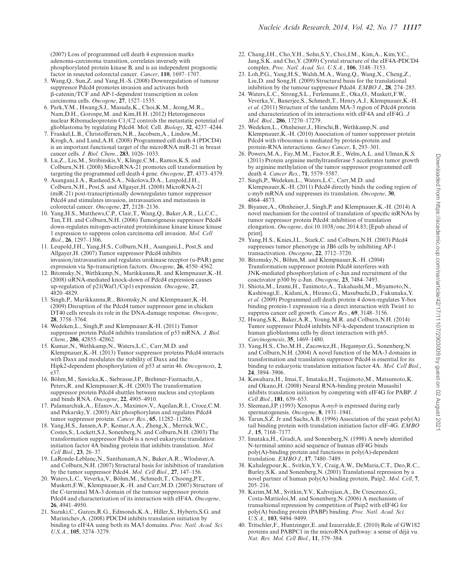(2007) Loss of programmed cell death 4 expression marks adenoma-carcinoma transition, correlates inversely with phosphorylated protein kinase B, and is an independent prognostic factor in resected colorectal cancer. *Cancer*, **110**, 1697–1707.

- 5. Wang,Q., Sun,Z. and Yang,H.-S. (2008) Downregulation of tumour suppressor Pdcd4 promotes invasion and activates both β-catenin/TCF and AP-1-dependent transcription in colon carcinoma cells. *Oncogene*, **27**, 1527–1535.
- 6. Park,Y.M., Hwang,S.J., Masuda,K., Choi,K.M., Jeong,M.R., Nam,D.H., Gorospe,M. and Kim,H.H. (2012) Heterogeneous nuclear Ribonucleoprotein C1/C2 controls the metastatic potential of glioblastoma by regulating Pdcd4. Mol. Cell. *Biology*, **32**, 4237–4244.
- 7. Frankel,L.B., Christoffersen,N.R., Jacobsen,A., Lindow,M., Krogh,A. and Lund,A.H. (2008) Programmed cell death 4 (PDCD4) is an important functional target of the microRNA miR-21 in breast cancer cells. *J. Biol. Chem.*, **283**, 1026–1033.
- 8. Lu,Z., Liu,M., Stribinskis,V., Klinge,C.M., Ramos,K.S. and Colburn,N.H. (2008) MicroRNA-21 promotes cell transformation by targeting the programmed cell death 4 gene. *Oncogene*, **27**, 4373–4379.
- 9. Asangani,I.A., Rasheed,S.A., Nikolova,D.A., Leupold,J.H., Colburn,N.H., Post,S. and Allgayer,H. (2008) MicroRNA-21 (miR-21) post-transcriptionally downregulates tumor suppressor Pdcd4 and stimulates invasion, intravasation and metastasis in colorectal cancer. *Oncogene*, **27**, 2128–2136.
- 10. Yang,H.S., Matthews,C.P., Clair,T., Wang,Q., Baker,A.R., Li,C.C., Tan,T.H. and Colburn,N.H. (2006) Tumorigenesis suppressor Pdcd4 down-regulates mitogen-activated proteinkinase kinase kinase kinase 1 expression to suppress colon carcinoma cell invasion. *Mol. Cell Biol.*, **26**, 1297–1306.
- 11. Leupold,J.H., Yang,H.S., Colburn,N.H., Asangani,I., Post,S. and Allgayer,H. (2007) Tumor suppressor Pdcd4 inhibits invasion/intravasation and regulates urokinase receptor (u-PAR) gene expression via Sp-transcription factors. *Oncogene*, **26**, 4550–4562.
- 12. Bitomsky, N., Wethkamp, N., Marikkannu, R. and Klempnauer, K.-H. (2008) siRNA-mediated knock-down of Pdcd4 expression causes up-regulation of p21(Waf1/Cip1) expression. *Oncogene*, **27**, 4820–4829.
- 13. Singh,P., Marikkannu,R., Bitomsky,N. and Klempnauer,K.-H. (2009) Disruption of the Pdcd4 tumor suppressor gene in chicken DT40 cells reveals its role in the DNA-damage response. *Oncogene*, **28**, 3758–3764.
- 14. Wedeken,L., Singh,P. and Klempnauer,K-H. (2011) Tumor suppressor protein Pdcd4 inhibits translation of p53 mRNA. *J. Biol. Chem.*, **286**, 42855–42862.
- 15. Kumar,N., Wethkamp,N., Waters,L.C., Carr,M.D. and Klempnauer,K.-H. (2013) Tumor suppressor proteins Pdcd4 interacts with Daxx and modulates the stability of Daxx and the Hipk2-dependent phosphorylation of p53 at serin 46. *Oncogenesis*, **2**, e37.
- 16. Bohm,M., Sawicka,K., Siebrasse,J.P., Brehmer-Fastnacht,A., ¨ Peters,R. and Klempnauer,K.-H. (2003) The transformation suppressor protein Pdcd4 shuttles between nucleus and cytoplasm and binds RNA. *Oncogene*, **22**, 4905–4910.
- 17. Palamarchuk,A., Efanov,A., Maximov,V., Aqeilan,R.I., Croce,C.M. and Pekarsky,Y. (2005) Akt phosphorylates and regulates Pdcd4 tumor suppressor protein. *Cancer Res.*, **65**, 11282–11286.
- 18. Yang,H.S., Jansen,A.P., Komar,A.A., Zheng,X., Merrick,W.C., Costes,S., Lockett,S.J., Sonenberg,N. and Colburn,N.H. (2003) The transformation suppressor Pdcd4 is a novel eukaryotic translation initiation factor 4A binding protein that inhibits translation. *Mol. Cell Biol.*, **23**, 26–37.
- 19. LaRonde-Leblanc,N., Santhanam,A.N., Baker,A.R., Wlodaver,A. and Colburn,N.H. (2007) Structural basis for inhibition of translation by the tumor suppressor Pdcd4. *Mol. Cell Biol.*, **27**, 147–156.
- 20. Waters,L.C., Veverka,V., Bohm,M., Schmedt,T., Choong,P.T., ¨ Muskett,F.W., Klempnauer,K.-H. and Carr,M.D. (2007) Structure of the C-terminal MA-3 domain of the tumour suppressor protein Pdcd4 and characterization of its interaction with eIF4A. *Oncogene*, **26**, 4941–4950.
- 21. Suzuki,C., Garces,R.G., Edmonds,K.A., Hiller,S., Hyberts,S.G. and Marintchev,A. (2008) PDCD4 inhibits translation initiation by binding to eIF4A using both its MA3 domains. *Proc. Natl. Acad. Sci. U.S.A.*, **105**, 3274–3279.
- 22. Chang,J.H., Cho,Y.H., Sohn,S.Y., Choi,J.M., Kim,A., Kim,Y.C., Jang,S.K. and Cho,Y. (2009) Cyrstal structure of the eIF4A-PDCD4 complex. *Proc. Natl. Acad. Sci. U.S.A.*, **106**, 3148–3153.
- 23. Loh,P.G., Yang,H.S., Walsh,M.A., Wang,Q., Wang,X., Cheng,Z., Liu,D. and Song,H. (2009) Structural basis for the translational inhibition by the tumour suppressor Pdcd4. *EMBO J.*, **28**, 274–285.
- 24. Waters,L.C., Strong,S.L., Ferlemann,E., Oka,O., Muskett,F.W., Veverka,V., Banerjee,S., Schmedt,T., Henry,A.J., Klempnauer,K.-H. *et al.* (2011) Structure of the tandem MA-3 region of Pdcd4 protein and characterization of its interactions with eIF4A and eIF4G. *J. Mol. Biol.*, **286**, 17270–17279.
- 25. Wedeken,L., Ohnheiser,J., Hirschi,B., Wethkamp,N. and Klempnauer,K.-H. (2010) Association of tumor suppressor protein Pdcd4 with ribosomes is mediated by protein-protein and protein-RNA interactions. *Genes Cancer*, **1**, 293–301.
- 26. Powers,M.A., Fay,M.M., Factor,R.E., Welm,A.L. and Ulman,K.S. (2011) Protein arginine methyltransferase 5 accelerates tumor growth by arginine methylation of the tumor suppressor programmed cell death 4. *Cancer Res.*, **71**, 5579–5587.
- 27. Singh,P., Wedeken,L., Waters,L.C., Carr,M.D. and Klempnauer,K.-H. (2011) Pdcd4 directly binds the coding region of c-myb mRNA and suppresses its translation. *Oncogene*, **30**, 4864–4873.
- 28. Biyanee,A., Ohnheiser,J., Singh,P. and Klempnauer,K.-H. (2014) A novel mechanism for the control of translation of specific mRNAs by tumor suppressor protein Pdcd4: inhibition of translation elongation. *Oncogene*, doi:10.1038/onc.2014.83; [Epub ahead of print].
- 29. Yang,H.S., Knies,J.L., Stark,C. and Colburn,N.H. (2003) Pdcd4 suppresses tumor phenotype in JB6 cells by inhibiting AP-1 transactivation. *Oncogene*, **22**, 3712–3720.
- 30. Bitomsky, N., Böhm, M. and Klempnauer, K.-H. (2004) Transformation suppressor protein Pdcd4 interferes with JNK-mediated phosphorylation of c-Jun and recruitment of the coactivator p300 by c-Jun. *Oncogene*, **23**, 7484–7493.
- 31. Shiota,M., Izumi,H., Tanimoto,A., Takahashi,M., Miyamoto,N., Kashiwagi,E., Kidani,A., Hirano,G., Masubuchi,D., Fukunaka,Y. *et al.* (2009) Programmed cell death protein 4 down-regulates Y-box binding protein-1 expression via a direct interaction with Twist1 to suppress cancer cell growth. *Cancer Res.*, **69**, 3148–3156.
- 32. Hwang,S.K., Baker,A.R., Young,M.R. and Colburn,N.H. (2014) Tumor suppressor Pdcd4 inhibits NF-k-dependent transcription in human glioblastoma cells by direct interaction with p65. *Carcinogenesis*, **35**, 1469–1480.
- 33. Yang,H.S., Cho,M.H., Zacowicz,H., Hegamyer,G., Sonenberg,N. and Colburn,N.H. (2004) A novel function of the MA-3 domains in transformation and translation suppressor Pdcd4 is essential for its binding to eukaryotic translation initiation factor 4A. *Mol. Cell Biol.*, **24**, 3894–3906.
- 34. Kawahara,H., Imai,T., Imataka,H., Tsujimoto,M., Matsumoto,K. and Okano,H. (2008) Neural RNA-binding protein Musashi1 inhibits translation initiation by competing with eIF4G for PABP. *J. Cell Biol.*, **181**, 639–653.
- 35. Sleeman,J.P. (1993) Xenopus A-*myb* is expressed during early spermatogenesis. *Oncogene*, **8**, 1931–1941.
- 36. Tarun,S.Z. Jr and Sachs,A.B. (1996) Association of the yeast poly(A) tail binding protein with translation initiation factor eIF-4G. *EMBO J.*, **15**, 7168–7177.
- 37. Imataka,H., Gradi,A. and Sonenberg,N. (1998) A newly identified N-terminal amino acid sequence of human eIF4G binds poly(A)-binding protein and functions in poly(A)-dependent translation. *EMBO J.*, **17**, 7480–7489.
- 38. Kahalegpour,K., Svitkin,Y.V., Craig,A.W., DeMaria,C.T., Deo,R.C., Burley,S.K. and Sonenberg,N. (2001) Translational repression by a novel partner of human poly(A) binding protein, Paip2. *Mol. Cell*, **7**, 205–216.
- 39. Karim,M.M., Svitkin,Y.V., Kahvejian,A., De Crescenzo,G., Costa-Mattioloi,M. and Sonenberg,N. (2006) A mechanism of transaltional repression by competition of Paip2 with eIF4G for poly(A) binding protein (PABP) binding. *Proc. Natl. Acad. Sci. U.S.A.*, **103**, 9494–9499.
- 40. Tritschler,F., Huntzinger,E. and Izaurralde,E. (2010) Role of GW182 proteins and PABPC1 in the microRNA pathway: a sense of déjà vu. *Nat. Rev. Mol. Cell Biol.*, **11**, 379–384.